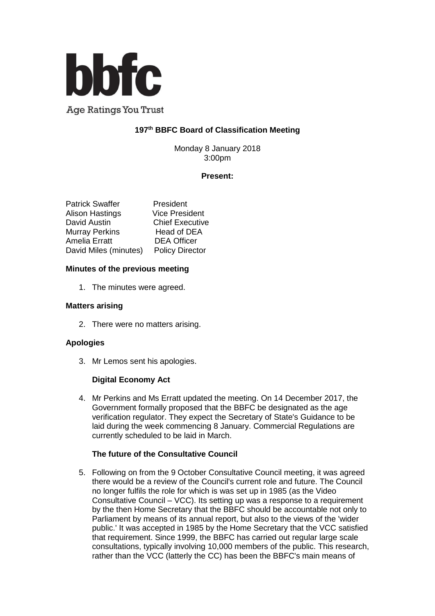

**Age Ratings You Trust** 

# **197 th BBFC Board of Classification Meeting**

Monday 8 January 2018 3:00pm

## **Present:**

| <b>Patrick Swaffer</b> | President              |
|------------------------|------------------------|
| <b>Alison Hastings</b> | <b>Vice President</b>  |
| David Austin           | <b>Chief Executive</b> |
| <b>Murray Perkins</b>  | Head of DEA            |
| <b>Amelia Erratt</b>   | <b>DEA Officer</b>     |
| David Miles (minutes)  | <b>Policy Director</b> |

## **Minutes of the previous meeting**

1. The minutes were agreed.

#### **Matters arising**

2. There were no matters arising.

## **Apologies**

3. Mr Lemos sent his apologies.

## **Digital Economy Act**

4. Mr Perkins and Ms Erratt updated the meeting. On 14 December 2017, the Government formally proposed that the BBFC be designated as the age verification regulator. They expect the Secretary of State's Guidance to be laid during the week commencing 8 January. Commercial Regulations are currently scheduled to be laid in March.

## **The future of the Consultative Council**

5. Following on from the 9 October Consultative Council meeting, it was agreed there would be a review of the Council's current role and future. The Council no longer fulfils the role for which is was set up in 1985 (as the Video Consultative Council – VCC). Its setting up was a response to a requirement by the then Home Secretary that the BBFC should be accountable not only to Parliament by means of its annual report, but also to the views of the 'wider public.' It was accepted in 1985 by the Home Secretary that the VCC satisfied that requirement. Since 1999, the BBFC has carried out regular large scale consultations, typically involving 10,000 members of the public. This research, rather than the VCC (latterly the CC) has been the BBFC's main means of